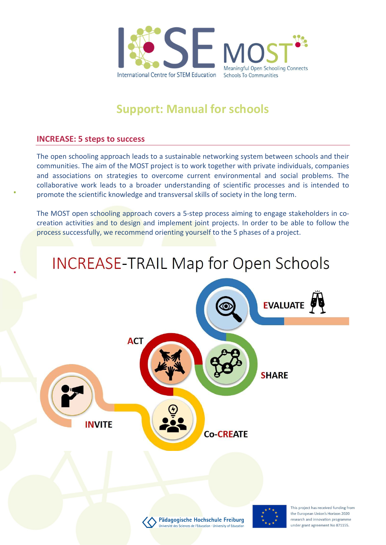

# Support: Manual for schools

#### INCREASE: 5 steps to success

The open schooling approach leads to a sustainable networking system between schools and their communities. The aim of the MOST project is to work together with private individuals, companies and associations on strategies to overcome current environmental and social problems. The collaborative work leads to a broader understanding of scientific processes and is intended to promote the scientific knowledge and transversal skills of society in the long term.

The MOST open schooling approach covers a 5-step process aiming to engage stakeholders in cocreation activities and to design and implement joint projects. In order to be able to follow the process successfully, we recommend orienting yourself to the 5 phases of a project.

# **INCREASE-TRAIL Map for Open Schools**

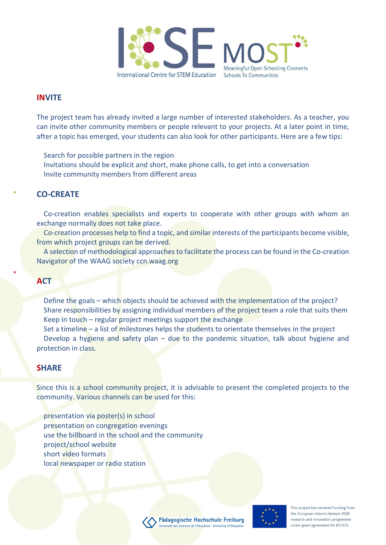

#### INVITE

The project team has already invited a large number of interested stakeholders. As a teacher, you can invite other community members or people relevant to your projects. At a later point in time, after a topic has emerged, your students can also look for other participants. Here are a few tips:

Search for possible partners in the region

 Invitations should be explicit and short, make phone calls, to get into a conversation Invite community members from different areas

### CO-CREATE

 Co-creation enables specialists and experts to cooperate with other groups with whom an exchange normally does not take place.

 Co-creation processes help to find a topic, and similar interests of the participants become visible, from which project groups can be derived.

 A selection of methodological approaches to facilitate the process can be found in the Co-creation Navigator of the WAAG society ccn.waag.org

#### **ACT**

Define the goals – which objects should be achieved with the implementation of the project? Share responsibilities by assigning individual members of the project team a role that suits them Keep in touch – regular project meetings support the exchange

 Set a timeline – a list of milestones helps the students to orientate themselves in the project Develop a hygiene and safety plan – due to the pandemic situation, talk about hygiene and protection in class.

#### **SHARE**

Since this is a school community project, it is advisable to present the completed projects to the community. Various channels can be used for this:

 presentation via poster(s) in school presentation on congregation evenings use the billboard in the school and the community project/school website short video formats local newspaper or radio station



This project has received funding from the European Union's Horizon 2020 research and innovation programme under grant agreement No 871155.